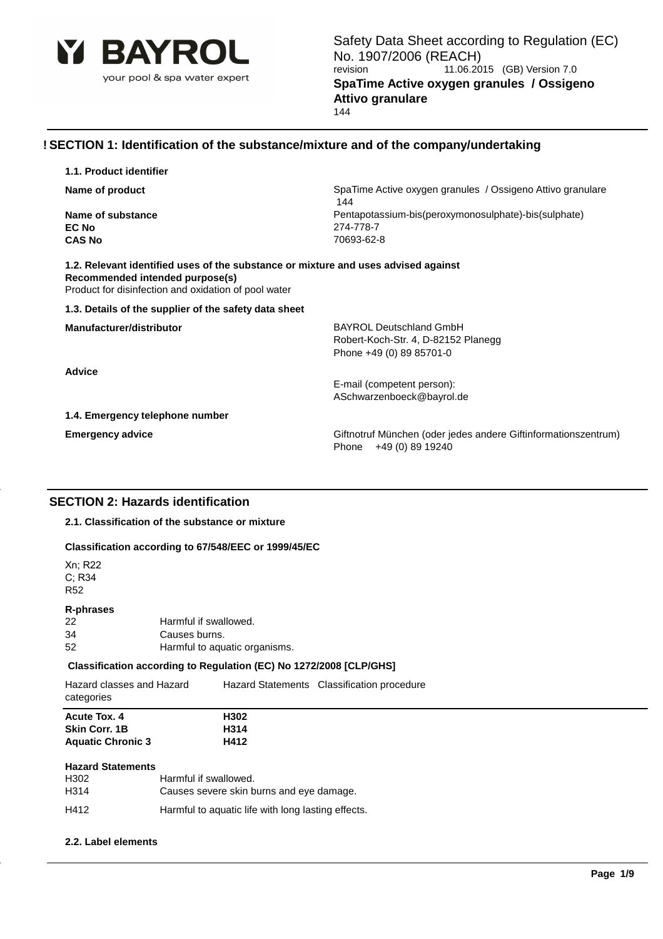

# **! SECTION 1: Identification of the substance/mixture and of the company/undertaking**

| 1.1. Product identifier                                                                 |                                                                                             |
|-----------------------------------------------------------------------------------------|---------------------------------------------------------------------------------------------|
| Name of product                                                                         | SpaTime Active oxygen granules / Ossigeno Attivo granulare<br>144                           |
| Name of substance                                                                       | Pentapotassium-bis(peroxymonosulphate)-bis(sulphate)                                        |
| EC No                                                                                   | 274-778-7                                                                                   |
| <b>CAS No</b>                                                                           | 70693-62-8                                                                                  |
| Recommended intended purpose(s)<br>Product for disinfection and oxidation of pool water | 1.2. Relevant identified uses of the substance or mixture and uses advised against          |
| 1.3. Details of the supplier of the safety data sheet                                   |                                                                                             |
| Manufacturer/distributor                                                                | <b>BAYROL Deutschland GmbH</b>                                                              |
|                                                                                         | Robert-Koch-Str. 4, D-82152 Planegg                                                         |
|                                                                                         | Phone +49 (0) 89 85701-0                                                                    |
| <b>Advice</b>                                                                           |                                                                                             |
|                                                                                         | E-mail (competent person):                                                                  |
|                                                                                         | ASchwarzenboeck@bayrol.de                                                                   |
| 1.4. Emergency telephone number                                                         |                                                                                             |
| <b>Emergency advice</b>                                                                 | Giftnotruf München (oder jedes andere Giftinformationszentrum)<br>+49 (0) 89 19240<br>Phone |
|                                                                                         |                                                                                             |
|                                                                                         |                                                                                             |

# **SECTION 2: Hazards identification**

**2.1. Classification of the substance or mixture**

## **Classification according to 67/548/EEC or 1999/45/EC**

| Xn; R22<br>C; R34<br><b>R52</b>                                         |                                                                                                                                                                                                                                   |                                            |  |  |
|-------------------------------------------------------------------------|-----------------------------------------------------------------------------------------------------------------------------------------------------------------------------------------------------------------------------------|--------------------------------------------|--|--|
| <b>R-phrases</b><br>22<br>34<br>52                                      | Harmful if swallowed.<br>Causes burns.<br>Harmful to aquatic organisms.                                                                                                                                                           |                                            |  |  |
|                                                                         | Classification according to Regulation (EC) No 1272/2008 [CLP/GHS]                                                                                                                                                                |                                            |  |  |
| Hazard classes and Hazard<br>categories                                 |                                                                                                                                                                                                                                   | Hazard Statements Classification procedure |  |  |
| <b>Acute Tox. 4</b><br><b>Skin Corr. 1B</b><br><b>Aquatic Chronic 3</b> | H302<br>H314<br>H412                                                                                                                                                                                                              |                                            |  |  |
| <b>Hazard Statements</b><br>H302<br>H314                                | Harmful if swallowed.<br>Causes severe skin burns and eye damage.                                                                                                                                                                 |                                            |  |  |
| .                                                                       | $\mathbf{r}$ , and the contract of the contract of the contract of the contract of the contract of the contract of the contract of the contract of the contract of the contract of the contract of the contract of the contract o |                                            |  |  |

### **2.2. Label elements**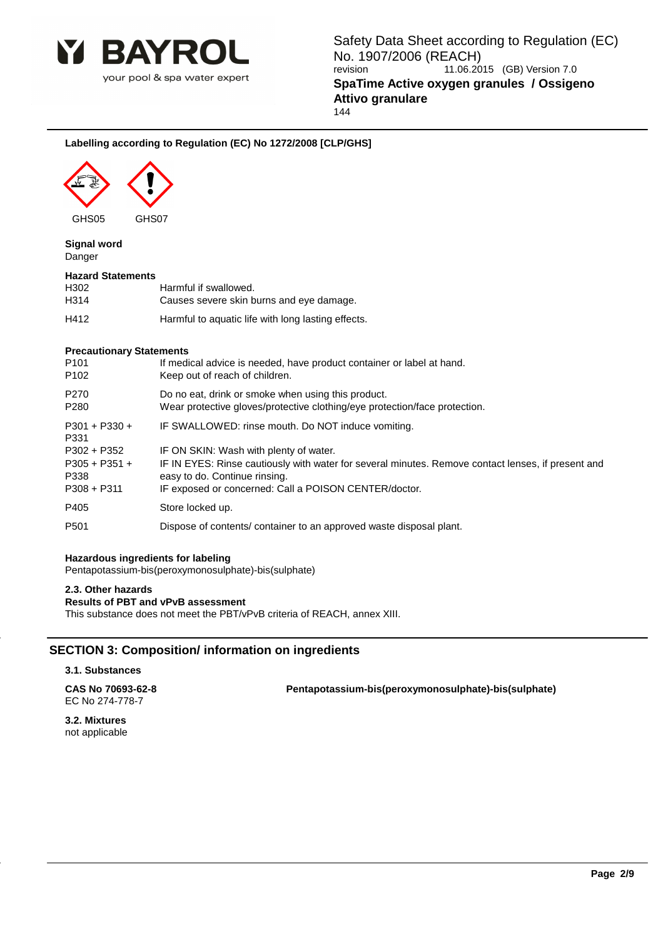

# **Labelling according to Regulation (EC) No 1272/2008 [CLP/GHS]**



GHS05 GHS07

### **Signal word** Danger

### **Hazard Statements**

| H302 | Harmful if swallowed.                              |
|------|----------------------------------------------------|
| H314 | Causes severe skin burns and eye damage.           |
| H412 | Harmful to aquatic life with long lasting effects. |

### **Precautionary Statements**

| P <sub>101</sub>        | If medical advice is needed, have product container or label at hand.                              |
|-------------------------|----------------------------------------------------------------------------------------------------|
| P <sub>102</sub>        | Keep out of reach of children.                                                                     |
| P <sub>270</sub>        | Do no eat, drink or smoke when using this product.                                                 |
| P <sub>280</sub>        | Wear protective gloves/protective clothing/eye protection/face protection.                         |
| $P301 + P330 +$<br>P331 | IF SWALLOWED: rinse mouth. Do NOT induce vomiting.                                                 |
| P302 + P352             | IF ON SKIN: Wash with plenty of water.                                                             |
| $P305 + P351 +$         | IF IN EYES: Rinse cautiously with water for several minutes. Remove contact lenses, if present and |
| P338                    | easy to do. Continue rinsing.                                                                      |
| $P308 + P311$           | IF exposed or concerned: Call a POISON CENTER/doctor.                                              |
| P405                    | Store locked up.                                                                                   |
| P <sub>501</sub>        | Dispose of contents/ container to an approved waste disposal plant.                                |

### **Hazardous ingredients for labeling**

Pentapotassium-bis(peroxymonosulphate)-bis(sulphate)

## **2.3. Other hazards**

## **Results of PBT and vPvB assessment**

This substance does not meet the PBT/vPvB criteria of REACH, annex XIII.

# **SECTION 3: Composition/ information on ingredients**

# **3.1. Substances**

| CAS No 70693-62-8 | Pentapotassium-bis(peroxymonosulphate)-bis(sulphate) |
|-------------------|------------------------------------------------------|
| EC No 274-778-7   |                                                      |

**3.2. Mixtures** not applicable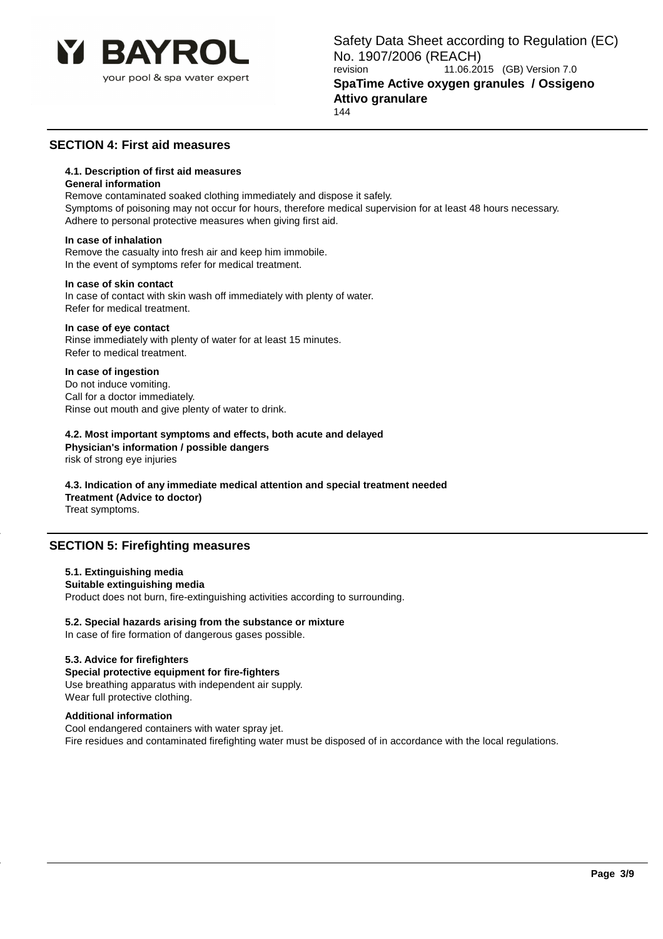

# **SECTION 4: First aid measures**

## **4.1. Description of first aid measures**

### **General information**

Remove contaminated soaked clothing immediately and dispose it safely. Symptoms of poisoning may not occur for hours, therefore medical supervision for at least 48 hours necessary. Adhere to personal protective measures when giving first aid.

### **In case of inhalation**

Remove the casualty into fresh air and keep him immobile. In the event of symptoms refer for medical treatment.

### **In case of skin contact**

In case of contact with skin wash off immediately with plenty of water. Refer for medical treatment.

### **In case of eye contact**

Rinse immediately with plenty of water for at least 15 minutes. Refer to medical treatment.

### **In case of ingestion**

Do not induce vomiting. Call for a doctor immediately. Rinse out mouth and give plenty of water to drink.

# **4.2. Most important symptoms and effects, both acute and delayed**

**Physician's information / possible dangers** risk of strong eye injuries

# **4.3. Indication of any immediate medical attention and special treatment needed**

**Treatment (Advice to doctor)**

Treat symptoms.

# **SECTION 5: Firefighting measures**

## **5.1. Extinguishing media**

### **Suitable extinguishing media**

Product does not burn, fire-extinguishing activities according to surrounding.

### **5.2. Special hazards arising from the substance or mixture**

In case of fire formation of dangerous gases possible.

### **5.3. Advice for firefighters**

**Special protective equipment for fire-fighters** Use breathing apparatus with independent air supply. Wear full protective clothing.

### **Additional information**

Cool endangered containers with water spray jet. Fire residues and contaminated firefighting water must be disposed of in accordance with the local regulations.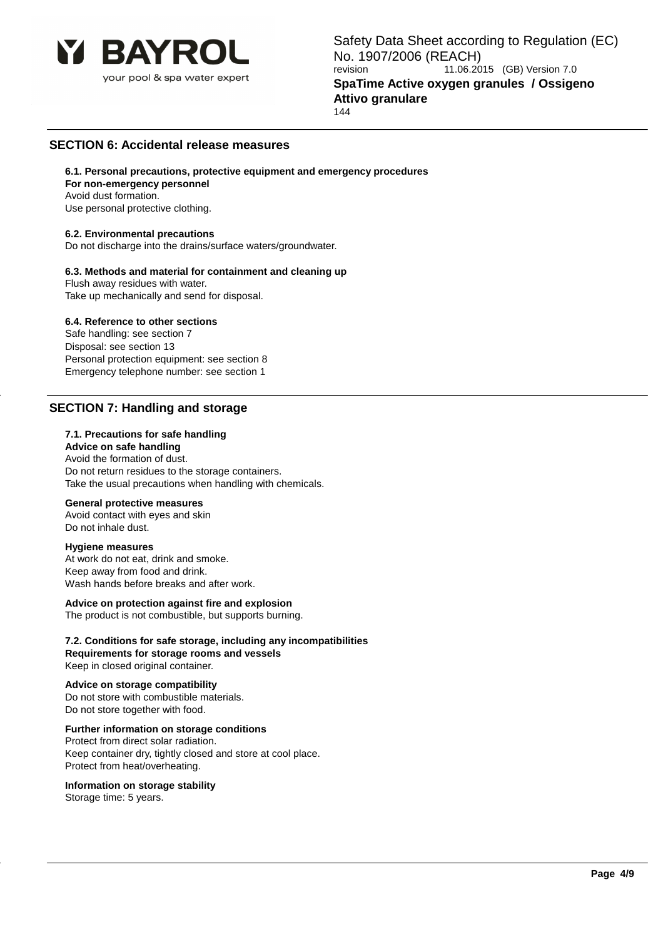

# **SECTION 6: Accidental release measures**

**6.1. Personal precautions, protective equipment and emergency procedures For non-emergency personnel** Avoid dust formation.

Use personal protective clothing.

### **6.2. Environmental precautions**

Do not discharge into the drains/surface waters/groundwater.

# **6.3. Methods and material for containment and cleaning up**

Flush away residues with water. Take up mechanically and send for disposal.

### **6.4. Reference to other sections**

Safe handling: see section 7 Disposal: see section 13 Personal protection equipment: see section 8 Emergency telephone number: see section 1

# **SECTION 7: Handling and storage**

### **7.1. Precautions for safe handling**

**Advice on safe handling** Avoid the formation of dust. Do not return residues to the storage containers. Take the usual precautions when handling with chemicals.

### **General protective measures**

Avoid contact with eyes and skin Do not inhale dust.

### **Hygiene measures**

At work do not eat, drink and smoke. Keep away from food and drink. Wash hands before breaks and after work.

#### **Advice on protection against fire and explosion** The product is not combustible, but supports burning.

**7.2. Conditions for safe storage, including any incompatibilities Requirements for storage rooms and vessels** Keep in closed original container.

# **Advice on storage compatibility**

Do not store with combustible materials. Do not store together with food.

## **Further information on storage conditions**

Protect from direct solar radiation. Keep container dry, tightly closed and store at cool place. Protect from heat/overheating.

### **Information on storage stability**

Storage time: 5 years.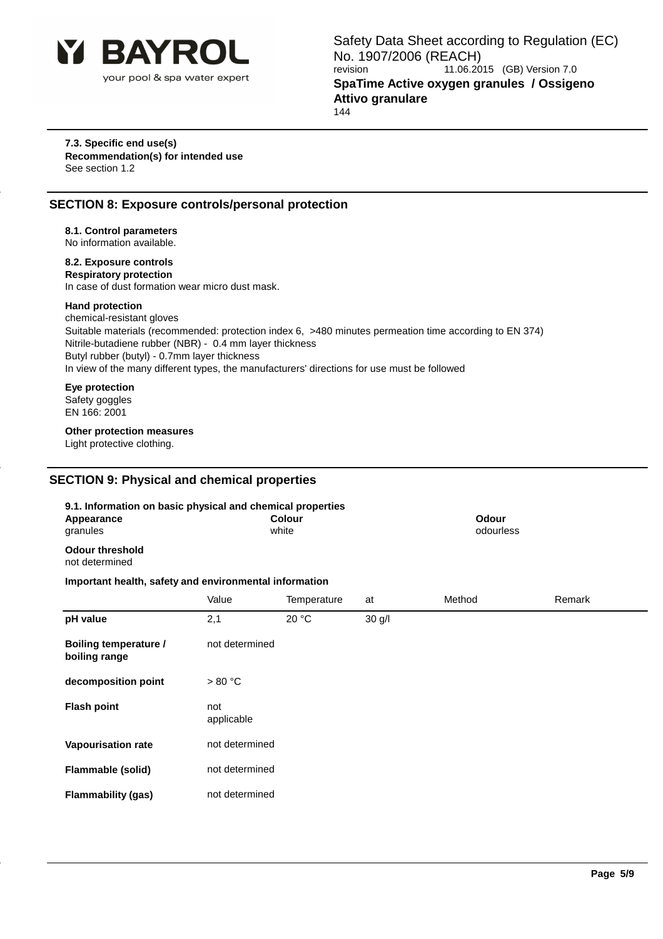

### **7.3. Specific end use(s) Recommendation(s) for intended use** See section 1.2

# **SECTION 8: Exposure controls/personal protection**

# **8.1. Control parameters**

No information available.

# **8.2. Exposure controls**

**Respiratory protection** In case of dust formation wear micro dust mask.

## **Hand protection**

chemical-resistant gloves Suitable materials (recommended: protection index 6, >480 minutes permeation time according to EN 374) Nitrile-butadiene rubber (NBR) - 0.4 mm layer thickness Butyl rubber (butyl) - 0.7mm layer thickness In view of the many different types, the manufacturers' directions for use must be followed

## **Eye protection**

Safety goggles EN 166: 2001

# **Other protection measures**

Light protective clothing.

# **SECTION 9: Physical and chemical properties**

| 9.1. Information on basic physical and chemical properties<br>Appearance<br>granules |                   | <b>Colour</b><br>white |          | <b>Odour</b><br>odourless |        |
|--------------------------------------------------------------------------------------|-------------------|------------------------|----------|---------------------------|--------|
| <b>Odour threshold</b><br>not determined                                             |                   |                        |          |                           |        |
| Important health, safety and environmental information                               |                   |                        |          |                           |        |
|                                                                                      | Value             | Temperature            | at       | Method                    | Remark |
| pH value                                                                             | 2,1               | 20 °C                  | $30$ g/l |                           |        |
| <b>Boiling temperature /</b><br>boiling range                                        | not determined    |                        |          |                           |        |
| decomposition point                                                                  | > 80 °C           |                        |          |                           |        |
| <b>Flash point</b>                                                                   | not<br>applicable |                        |          |                           |        |
| Vapourisation rate                                                                   | not determined    |                        |          |                           |        |
| Flammable (solid)                                                                    | not determined    |                        |          |                           |        |
| <b>Flammability (gas)</b>                                                            | not determined    |                        |          |                           |        |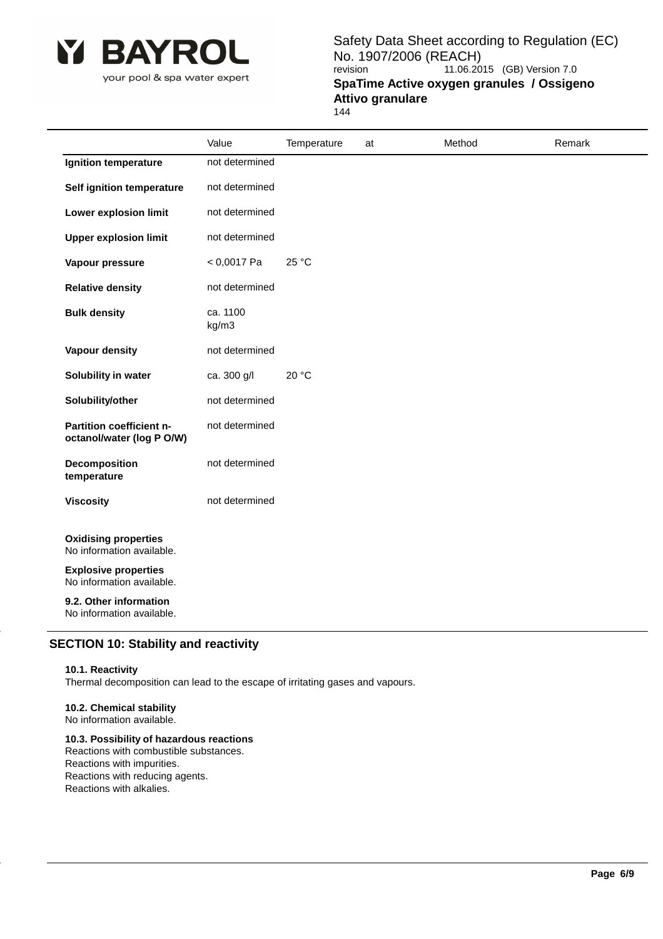

your pool & spa water expert

Safety Data Sheet according to Regulation (EC) No. 1907/2006 (REACH)<br>revision 11.06.20 11.06.2015 (GB) Version 7.0 **SpaTime Active oxygen granules / Ossigeno Attivo granulare** 144

|                                                          | Value             | Temperature | at | Method | Remark |
|----------------------------------------------------------|-------------------|-------------|----|--------|--------|
| Ignition temperature                                     | not determined    |             |    |        |        |
| Self ignition temperature                                | not determined    |             |    |        |        |
| <b>Lower explosion limit</b>                             | not determined    |             |    |        |        |
| <b>Upper explosion limit</b>                             | not determined    |             |    |        |        |
| Vapour pressure                                          | $< 0,0017$ Pa     | 25 °C       |    |        |        |
| <b>Relative density</b>                                  | not determined    |             |    |        |        |
| <b>Bulk density</b>                                      | ca. 1100<br>kg/m3 |             |    |        |        |
| <b>Vapour density</b>                                    | not determined    |             |    |        |        |
| Solubility in water                                      | ca. 300 g/l       | 20 °C       |    |        |        |
| Solubility/other                                         | not determined    |             |    |        |        |
| Partition coefficient n-<br>octanol/water (log P O/W)    | not determined    |             |    |        |        |
| <b>Decomposition</b><br>temperature                      | not determined    |             |    |        |        |
| <b>Viscosity</b>                                         | not determined    |             |    |        |        |
| <b>Oxidising properties</b><br>No information available. |                   |             |    |        |        |
| <b>Explosive properties</b><br>No information available. |                   |             |    |        |        |
| 9.2. Other information<br>No information available.      |                   |             |    |        |        |

# **SECTION 10: Stability and reactivity**

### **10.1. Reactivity**

Thermal decomposition can lead to the escape of irritating gases and vapours.

# **10.2. Chemical stability**

No information available.

# **10.3. Possibility of hazardous reactions**

Reactions with combustible substances. Reactions with impurities. Reactions with reducing agents. Reactions with alkalies.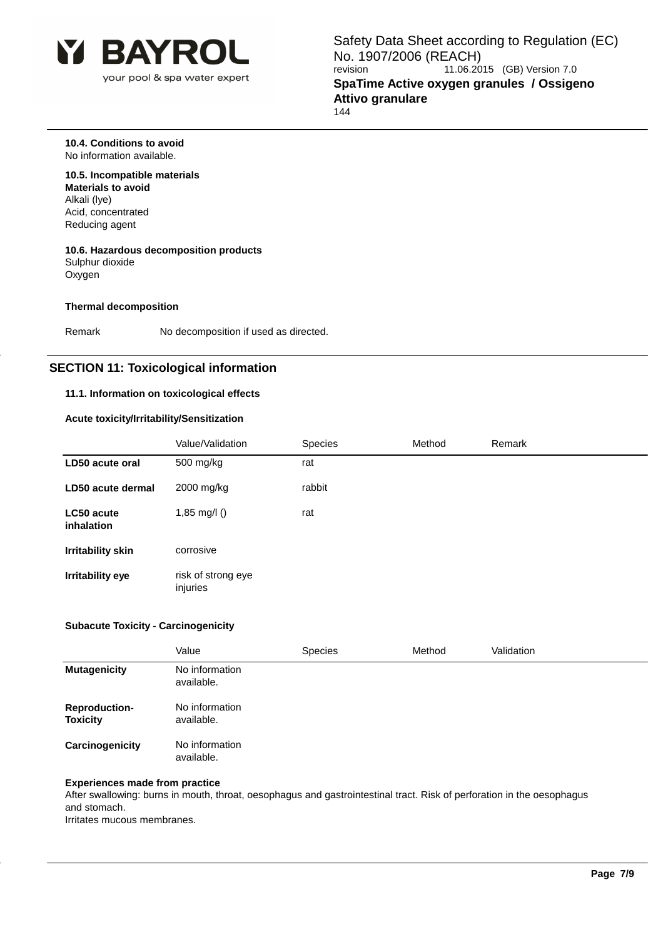

**10.4. Conditions to avoid** No information available.

# **10.5. Incompatible materials**

**Materials to avoid** Alkali (lye) Acid, concentrated Reducing agent

## **10.6. Hazardous decomposition products** Sulphur dioxide **Oxygen**

## **Thermal decomposition**

Remark No decomposition if used as directed.

# **SECTION 11: Toxicological information**

## **11.1. Information on toxicological effects**

## **Acute toxicity/Irritability/Sensitization**

|                                 | Value/Validation               | <b>Species</b> | Method | Remark |
|---------------------------------|--------------------------------|----------------|--------|--------|
| LD50 acute oral                 | 500 mg/kg                      | rat            |        |        |
| LD50 acute dermal               | 2000 mg/kg                     | rabbit         |        |        |
| LC50 acute<br><i>inhalation</i> | 1,85 mg/l $()$                 | rat            |        |        |
| <b>Irritability skin</b>        | corrosive                      |                |        |        |
| Irritability eye                | risk of strong eye<br>injuries |                |        |        |

## **Subacute Toxicity - Carcinogenicity**

|                                         | Value                        | <b>Species</b> | Method | Validation |
|-----------------------------------------|------------------------------|----------------|--------|------------|
| <b>Mutagenicity</b>                     | No information<br>available. |                |        |            |
| <b>Reproduction-</b><br><b>Toxicity</b> | No information<br>available. |                |        |            |
| Carcinogenicity                         | No information<br>available. |                |        |            |

# **Experiences made from practice**

After swallowing: burns in mouth, throat, oesophagus and gastrointestinal tract. Risk of perforation in the oesophagus and stomach.

Irritates mucous membranes.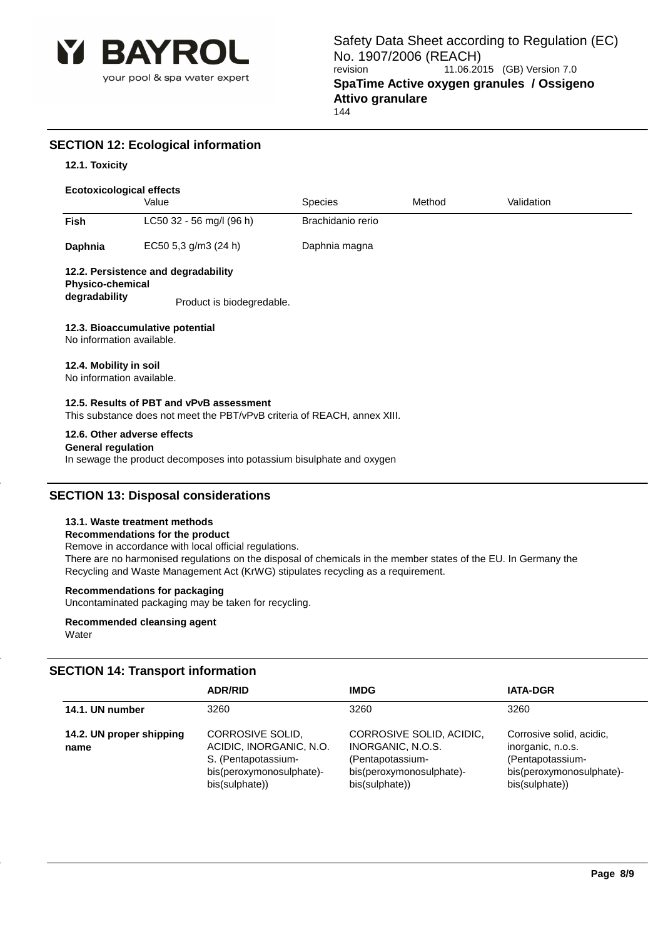

# **SECTION 12: Ecological information**

# **12.1. Toxicity**

# **Ecotoxicological effects**

|                                                          | Value                                                                                                                | <b>Species</b>    | Method | Validation |  |
|----------------------------------------------------------|----------------------------------------------------------------------------------------------------------------------|-------------------|--------|------------|--|
| <b>Fish</b>                                              | LC50 32 - 56 mg/l (96 h)                                                                                             | Brachidanio rerio |        |            |  |
| Daphnia                                                  | EC50 5,3 g/m3 (24 h)                                                                                                 | Daphnia magna     |        |            |  |
|                                                          | 12.2. Persistence and degradability                                                                                  |                   |        |            |  |
| <b>Physico-chemical</b><br>degradability                 | Product is biodegredable.                                                                                            |                   |        |            |  |
| No information available.                                | 12.3. Bioaccumulative potential                                                                                      |                   |        |            |  |
| 12.4. Mobility in soil<br>No information available.      |                                                                                                                      |                   |        |            |  |
|                                                          | 12.5. Results of PBT and vPvB assessment<br>This substance does not meet the PBT/vPvB criteria of REACH, annex XIII. |                   |        |            |  |
| 12.6. Other adverse effects<br><b>General regulation</b> |                                                                                                                      |                   |        |            |  |

In sewage the product decomposes into potassium bisulphate and oxygen

# **SECTION 13: Disposal considerations**

## **13.1. Waste treatment methods**

### **Recommendations for the product**

Remove in accordance with local official regulations. There are no harmonised regulations on the disposal of chemicals in the member states of the EU. In Germany the Recycling and Waste Management Act (KrWG) stipulates recycling as a requirement.

# **Recommendations for packaging**

Uncontaminated packaging may be taken for recycling.

## **Recommended cleansing agent Water**

# **SECTION 14: Transport information**

|                                  | <b>ADR/RID</b>                                                                                                   | <b>IMDG</b>                                                                                                     | <b>IATA-DGR</b>                                                                                                 |
|----------------------------------|------------------------------------------------------------------------------------------------------------------|-----------------------------------------------------------------------------------------------------------------|-----------------------------------------------------------------------------------------------------------------|
| 14.1. UN number                  | 3260                                                                                                             | 3260                                                                                                            | 3260                                                                                                            |
| 14.2. UN proper shipping<br>name | CORROSIVE SOLID,<br>ACIDIC, INORGANIC, N.O.<br>S. (Pentapotassium-<br>bis(peroxymonosulphate)-<br>bis(sulphate)) | CORROSIVE SOLID, ACIDIC,<br>INORGANIC, N.O.S.<br>(Pentapotassium-<br>bis(peroxymonosulphate)-<br>bis(sulphate)) | Corrosive solid, acidic,<br>inorganic, n.o.s.<br>(Pentapotassium-<br>bis(peroxymonosulphate)-<br>bis(sulphate)) |